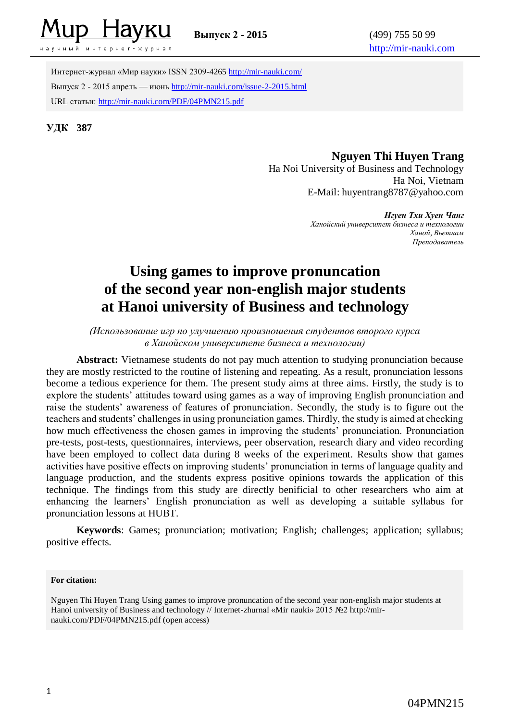

чный интернет-журнал

Интернет-журнал «Мир науки» ISSN 2309-4265 <http://mir-nauki.com/> Выпуск 2 - 2015 апрель — июнь<http://mir-nauki.com/issue-2-2015.html> URL статьи[: http://mir-nauki.com/PDF/04PMN215.pdf](http://mir-nauki.com/PDF/04PMN215.pdf)

**УДК 387**

## **Nguyen Thi Huyen Trang**

Ha Noi University of Business and Technology Ha Noi, Vietnam E-Mail: huyentrang8787@yahoo.com

*Нгуен Тхи Хуен Чанг*

*Ханойский университет бизнеса и технологии Ханой, Вьетнам Преподаватель*

# **Using games to improve pronuncation of the second year non-english major students at Hanoi university of Business and technology**

#### *(Использование игр по улучшению произношения студентов второго курса в Ханойском университете бизнеса и технологии)*

**Abstract:** Vietnamese students do not pay much attention to studying pronunciation because they are mostly restricted to the routine of listening and repeating. As a result, pronunciation lessons become a tedious experience for them. The present study aims at three aims. Firstly, the study is to explore the students' attitudes toward using games as a way of improving English pronunciation and raise the students' awareness of features of pronunciation. Secondly, the study is to figure out the teachers and students' challenges in using pronunciation games. Thirdly, the study is aimed at checking how much effectiveness the chosen games in improving the students' pronunciation. Pronunciation pre-tests, post-tests, questionnaires, interviews, peer observation, research diary and video recording have been employed to collect data during 8 weeks of the experiment. Results show that games activities have positive effects on improving students' pronunciation in terms of language quality and language production, and the students express positive opinions towards the application of this technique. The findings from this study are directly benificial to other researchers who aim at enhancing the learners' English pronunciation as well as developing a suitable syllabus for pronunciation lessons at HUBT.

**Keywords**: Games; pronunciation; motivation; English; challenges; application; syllabus; positive effects.

#### **For citation:**

Nguyen Thi Huyen Trang Using games to improve pronuncation of the second year non-english major students at Hanoi university of Business and technology // Internet-zhurnal «Mir nauki» 2015 №2 http://mirnauki.com/PDF/04PMN215.pdf (open access)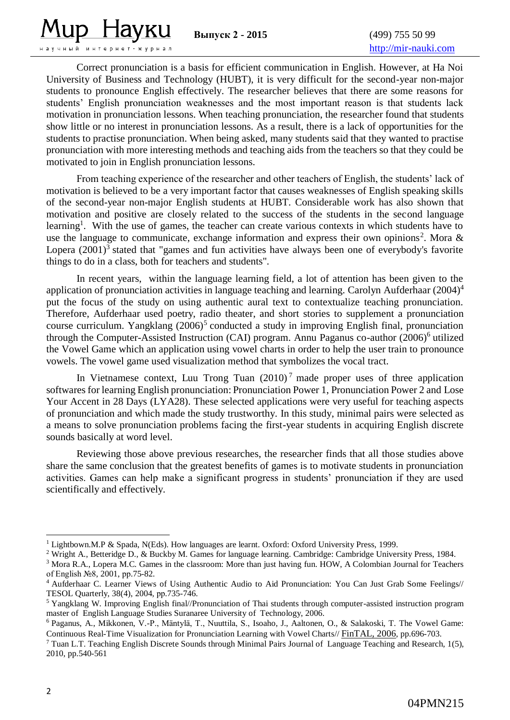lup Havku

научный интернет-журнал

[http://mir-nauki.com](http://mir-nauki.com/)

Correct pronunciation is a basis for efficient communication in English. However, at Ha Noi University of Business and Technology (HUBT), it is very difficult for the second-year non-major students to pronounce English effectively. The researcher believes that there are some reasons for students' English pronunciation weaknesses and the most important reason is that students lack motivation in pronunciation lessons. When teaching pronunciation, the researcher found that students show little or no interest in pronunciation lessons. As a result, there is a lack of opportunities for the students to practise pronunciation. When being asked, many students said that they wanted to practise pronunciation with more interesting methods and teaching aids from the teachers so that they could be motivated to join in English pronunciation lessons.

From teaching experience of the researcher and other teachers of English, the students' lack of motivation is believed to be a very important factor that causes weaknesses of English speaking skills of the second-year non-major English students at HUBT. Considerable work has also shown that motivation and positive are closely related to the success of the students in the second language learning<sup>1</sup>. With the use of games, the teacher can create various contexts in which students have to use the language to communicate, exchange information and express their own opinions<sup>2</sup>. Mora & Lopera  $(2001)^3$  stated that "games and fun activities have always been one of everybody's favorite things to do in a class, both for teachers and students".

In recent years, within the language learning field, a lot of attention has been given to the application of pronunciation activities in language teaching and learning. Carolyn Aufderhaar (2004)<sup>4</sup> put the focus of the study on using authentic aural text to contextualize teaching pronunciation. Therefore, Aufderhaar used poetry, radio theater, and short stories to supplement a pronunciation course curriculum. Yangklang (2006)<sup>5</sup> conducted a study in improving English final, pronunciation through the Computer-Assisted Instruction (CAI) program. Annu Paganus co-author (2006)<sup>6</sup> utilized the Vowel Game which an application using vowel charts in order to help the user train to pronounce vowels. The vowel game used visualization method that symbolizes the vocal tract.

In Vietnamese context, Luu Trong Tuan  $(2010)^7$  made proper uses of three application softwares for learning English pronunciation: Pronunciation Power 1, Pronunciation Power 2 and Lose Your Accent in 28 Days (LYA28). These selected applications were very useful for teaching aspects of pronunciation and which made the study trustworthy. In this study, minimal pairs were selected as a means to solve pronunciation problems facing the first-year students in acquiring English discrete sounds basically at word level.

Reviewing those above previous researches, the researcher finds that all those studies above share the same conclusion that the greatest benefits of games is to motivate students in pronunciation activities. Games can help make a significant progress in students' pronunciation if they are used scientifically and effectively.

1

<sup>&</sup>lt;sup>1</sup> Lightbown.M.P & Spada, N(Eds). How languages are learnt. Oxford: Oxford University Press, 1999.

<sup>&</sup>lt;sup>2</sup> Wright A., Betteridge D., & Buckby M. Games for language learning. Cambridge: Cambridge University Press, 1984.

<sup>&</sup>lt;sup>3</sup> Mora R.A., Lopera M.C. Games in the classroom: More than just having fun. HOW, A Colombian Journal for Teachers of English №8, 2001, рр.75-82.

<sup>4</sup> Aufderhaar C. Learner Views of Using Authentic Audio to Aid Pronunciation: You Can Just Grab Some Feelings// TESOL Quarterly, 38(4), 2004, рр.735-746.

<sup>5</sup> Yangklang W. Improving English final//Pronunciation of Thai students through computer-assisted instruction program master of English Language Studies Suranaree University of Technology, 2006.

<sup>6</sup> Paganus, A., Mikkonen, V.-P., Mäntylä, T., Nuuttila, S., Isoaho, J., Aaltonen, O., & Salakoski, T. The Vowel Game: Continuous Real-Time Visualization for Pronunciation Learning with Vowel Charts// [FinTAL, 2006](http://dblp.uni-trier.de/db/conf/fintal/fintal2006.html#PaganusMMNIAS06), pp.696-703.

 $^7$  Tuan L.T. Teaching English Discrete Sounds through Minimal Pairs Journal of Language Teaching and Research, 1(5), 2010, pp.540-561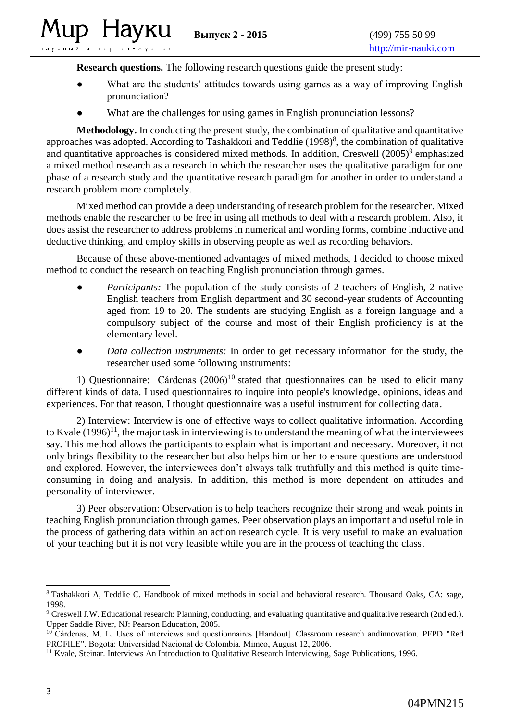lup Havku

.<br>научный интернет–журнал

**Research questions.** The following research questions guide the present study:

- What are the students' attitudes towards using games as a way of improving English pronunciation?
- What are the challenges for using games in English pronunciation lessons?

**Methodology.** In conducting the present study, the combination of qualitative and quantitative approaches was adopted. According to Tashakkori and Teddlie  $(1998)^8$ , the combination of qualitative and quantitative approaches is considered mixed methods. In addition, Creswell (2005)<sup>9</sup> emphasized a mixed method research as a research in which the researcher uses the qualitative paradigm for one phase of a research study and the quantitative research paradigm for another in order to understand a research problem more completely.

Mixed method can provide a deep understanding of research problem for the researcher. Mixed methods enable the researcher to be free in using all methods to deal with a research problem. Also, it does assist the researcher to address problems in numerical and wording forms, combine inductive and deductive thinking, and employ skills in observing people as well as recording behaviors.

Because of these above-mentioned advantages of mixed methods, I decided to choose mixed method to conduct the research on teaching English pronunciation through games.

- *Participants:* The population of the study consists of 2 teachers of English, 2 native English teachers from English department and 30 second-year students of Accounting aged from 19 to 20. The students are studying English as a foreign language and a compulsory subject of the course and most of their English proficiency is at the elementary level.
- *Data collection instruments:* In order to get necessary information for the study, the researcher used some following instruments:

1) Questionnaire: Cárdenas  $(2006)^{10}$  stated that questionnaires can be used to elicit many different kinds of data. I used questionnaires to inquire into people's knowledge, opinions, ideas and experiences. For that reason, I thought questionnaire was a useful instrument for collecting data.

2) Interview: Interview is one of effective ways to collect qualitative information. According to Kvale  $(1996)^{11}$ , the major task in interviewing is to understand the meaning of what the interviewees say. This method allows the participants to explain what is important and necessary. Moreover, it not only brings flexibility to the researcher but also helps him or her to ensure questions are understood and explored. However, the interviewees don't always talk truthfully and this method is quite timeconsuming in doing and analysis. In addition, this method is more dependent on attitudes and personality of interviewer.

3) Peer observation: Observation is to help teachers recognize their strong and weak points in teaching English pronunciation through games. Peer observation plays an important and useful role in the process of gathering data within an action research cycle. It is very useful to make an evaluation of your teaching but it is not very feasible while you are in the process of teaching the class.

<sup>1</sup> <sup>8</sup> Tashakkori A, Teddlie C. Handbook of mixed methods in social and behavioral research. Thousand Oaks, CA: sage, 1998.

<sup>9</sup> Creswell J.W. Educational research: Planning, conducting, and evaluating quantitative and qualitative research (2nd ed.). Upper Saddle River, NJ: Pearson Education, 2005.

<sup>&</sup>lt;sup>10</sup> Cárdenas, M. L. Uses of interviews and questionnaires [Handout]. Classroom research andinnovation. PFPD "Red PROFILE". Bogotá: Universidad Nacional de Colombia. Mimeo, August 12, 2006.

<sup>&</sup>lt;sup>11</sup> Kvale, Steinar. Interviews An Introduction to Qualitative Research Interviewing, Sage Publications, 1996.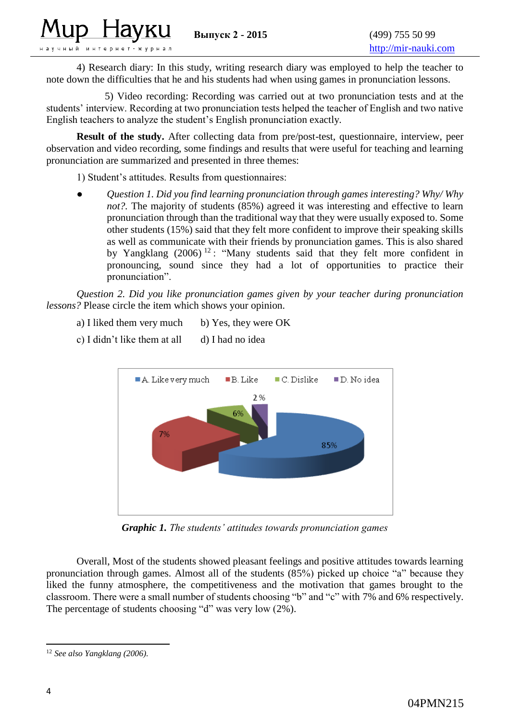4) Research diary: In this study, writing research diary was employed to help the teacher to note down the difficulties that he and his students had when using games in pronunciation lessons.

 5) Video recording: Recording was carried out at two pronunciation tests and at the students' interview. Recording at two pronunciation tests helped the teacher of English and two native English teachers to analyze the student's English pronunciation exactly.

**Result of the study.** After collecting data from pre/post-test, questionnaire, interview, peer observation and video recording, some findings and results that were useful for teaching and learning pronunciation are summarized and presented in three themes:

1) Student's attitudes. Results from questionnaires:

up Havku

.<br>научный интернет-журнал

**●** *Question 1. Did you find learning pronunciation through games interesting? Why/ Why not?*. The majority of students (85%) agreed it was interesting and effective to learn pronunciation through than the traditional way that they were usually exposed to. Some other students (15%) said that they felt more confident to improve their speaking skills as well as communicate with their friends by pronunciation games. This is also shared by Yangklang  $(2006)^{12}$ : "Many students said that they felt more confident in pronouncing, sound since they had a lot of opportunities to practice their pronunciation".

*Question 2. Did you like pronunciation games given by your teacher during pronunciation lessons?* Please circle the item which shows your opinion.

- a) I liked them very much b) Yes, they were  $OK$
- c) I didn't like them at all  $\qquad$  d) I had no idea



*Graphic 1. The students' attitudes towards pronunciation games* 

Overall, Most of the students showed pleasant feelings and positive attitudes towards learning pronunciation through games. Almost all of the students (85%) picked up choice "a" because they liked the funny atmosphere, the competitiveness and the motivation that games brought to the classroom. There were a small number of students choosing "b" and "c" with 7% and 6% respectively. The percentage of students choosing "d" was very low (2%).

<sup>1</sup> <sup>12</sup> *See also Yangklang (2006).*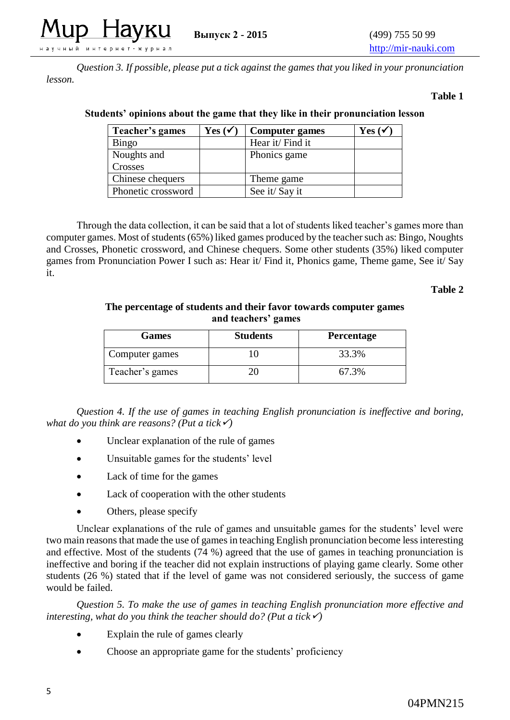

*Question 3. If possible, please put a tick against the games that you liked in your pronunciation lesson.* 

#### **Table 1**

| Teacher's games    | $Yes ( \checkmark )$ | <b>Computer games</b> | Yes $(\checkmark)$ |
|--------------------|----------------------|-----------------------|--------------------|
| Bingo              |                      | Hear it/ Find it      |                    |
| Noughts and        |                      | Phonics game          |                    |
| Crosses            |                      |                       |                    |
| Chinese chequers   |                      | Theme game            |                    |
| Phonetic crossword |                      | See it/Say it         |                    |

#### **Students' opinions about the game that they like in their pronunciation lesson**

Through the data collection, it can be said that a lot of students liked teacher's games more than computer games. Most of students (65%) liked games produced by the teacher such as: Bingo, Noughts and Crosses, Phonetic crossword, and Chinese chequers. Some other students (35%) liked computer games from Pronunciation Power I such as: Hear it/ Find it, Phonics game, Theme game, See it/ Say it.

#### **Table 2**

**The percentage of students and their favor towards computer games and teachers' games**

| <b>Games</b>    | <b>Students</b> | <b>Percentage</b> |
|-----------------|-----------------|-------------------|
| Computer games  |                 | 33.3%             |
| Teacher's games |                 | 67.3%             |

*Question 4. If the use of games in teaching English pronunciation is ineffective and boring, what do you think are reasons?* (*Put a tick* $\checkmark$ )

- Unclear explanation of the rule of games
- Unsuitable games for the students' level
- Lack of time for the games
- Lack of cooperation with the other students
- Others, please specify

Unclear explanations of the rule of games and unsuitable games for the students' level were two main reasons that made the use of games in teaching English pronunciation become less interesting and effective. Most of the students (74 %) agreed that the use of games in teaching pronunciation is ineffective and boring if the teacher did not explain instructions of playing game clearly. Some other students (26 %) stated that if the level of game was not considered seriously, the success of game would be failed.

*Question 5. To make the use of games in teaching English pronunciation more effective and interesting, what do you think the teacher should do? (Put a tick* $\checkmark$ )

- Explain the rule of games clearly
- Choose an appropriate game for the students' proficiency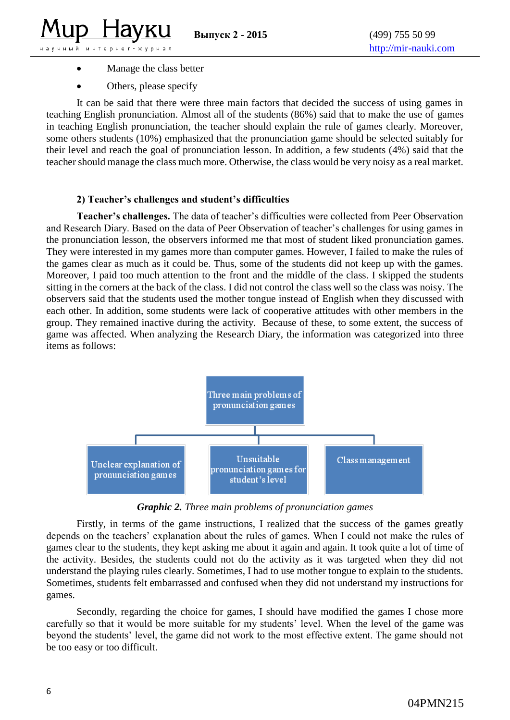**LUD** 

наўчный интерн

• Manage the class better Others, please specify

Havku

ет-журнал

It can be said that there were three main factors that decided the success of using games in teaching English pronunciation. Almost all of the students (86%) said that to make the use of games in teaching English pronunciation, the teacher should explain the rule of games clearly. Moreover, some others students (10%) emphasized that the pronunciation game should be selected suitably for their level and reach the goal of pronunciation lesson. In addition, a few students (4%) said that the teacher should manage the class much more. Otherwise, the class would be very noisy as a real market.

#### **2) Teacher's challenges and student's difficulties**

**Teacher's challenges.** The data of teacher's difficulties were collected from Peer Observation and Research Diary. Based on the data of Peer Observation of teacher's challenges for using games in the pronunciation lesson, the observers informed me that most of student liked pronunciation games. They were interested in my games more than computer games. However, I failed to make the rules of the games clear as much as it could be. Thus, some of the students did not keep up with the games. Moreover, I paid too much attention to the front and the middle of the class. I skipped the students sitting in the corners at the back of the class. I did not control the class well so the class was noisy. The observers said that the students used the mother tongue instead of English when they discussed with each other. In addition, some students were lack of cooperative attitudes with other members in the group. They remained inactive during the activity. Because of these, to some extent, the success of game was affected. When analyzing the Research Diary, the information was categorized into three items as follows:



*Graphic 2. Three main problems of pronunciation games*

Firstly, in terms of the game instructions, I realized that the success of the games greatly depends on the teachers' explanation about the rules of games. When I could not make the rules of games clear to the students, they kept asking me about it again and again. It took quite a lot of time of the activity. Besides, the students could not do the activity as it was targeted when they did not understand the playing rules clearly. Sometimes, I had to use mother tongue to explain to the students. Sometimes, students felt embarrassed and confused when they did not understand my instructions for games.

Secondly, regarding the choice for games, I should have modified the games I chose more carefully so that it would be more suitable for my students' level. When the level of the game was beyond the students' level, the game did not work to the most effective extent. The game should not be too easy or too difficult.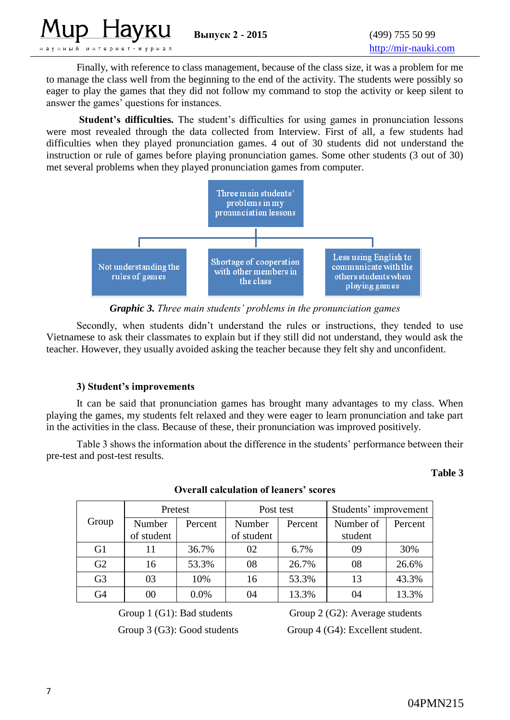

Finally, with reference to class management, because of the class size, it was a problem for me to manage the class well from the beginning to the end of the activity. The students were possibly so eager to play the games that they did not follow my command to stop the activity or keep silent to answer the games' questions for instances.

**Student's difficulties.** The student's difficulties for using games in pronunciation lessons were most revealed through the data collected from Interview. First of all, a few students had difficulties when they played pronunciation games. 4 out of 30 students did not understand the instruction or rule of games before playing pronunciation games. Some other students (3 out of 30) met several problems when they played pronunciation games from computer.



*Graphic 3. Three main students' problems in the pronunciation games*

Secondly, when students didn't understand the rules or instructions, they tended to use Vietnamese to ask their classmates to explain but if they still did not understand, they would ask the teacher. However, they usually avoided asking the teacher because they felt shy and unconfident.

## **3) Student's improvements**

It can be said that pronunciation games has brought many advantages to my class. When playing the games, my students felt relaxed and they were eager to learn pronunciation and take part in the activities in the class. Because of these, their pronunciation was improved positively.

Table 3 shows the information about the difference in the students' performance between their pre-test and post-test results.

#### **Table 3**

|                | Pretest              |         | Post test            |         | Students' improvement |         |
|----------------|----------------------|---------|----------------------|---------|-----------------------|---------|
| Group          | Number<br>of student | Percent | Number<br>of student | Percent | Number of<br>student  | Percent |
| G <sub>1</sub> | 11                   | 36.7%   | 02                   | 6.7%    | 09                    | 30%     |
| G2             | 16                   | 53.3%   | 08                   | 26.7%   | 08                    | 26.6%   |
| G <sub>3</sub> | 03                   | 10%     | 16                   | 53.3%   | 13                    | 43.3%   |
| G4             | 00                   | 0.0%    | 04                   | 13.3%   | 04                    | 13.3%   |

## **Overall calculation of leaners' scores**

Group 1 (G1): Bad students Group 2 (G2): Average students Group 3 (G3): Good students Group 4 (G4): Excellent student.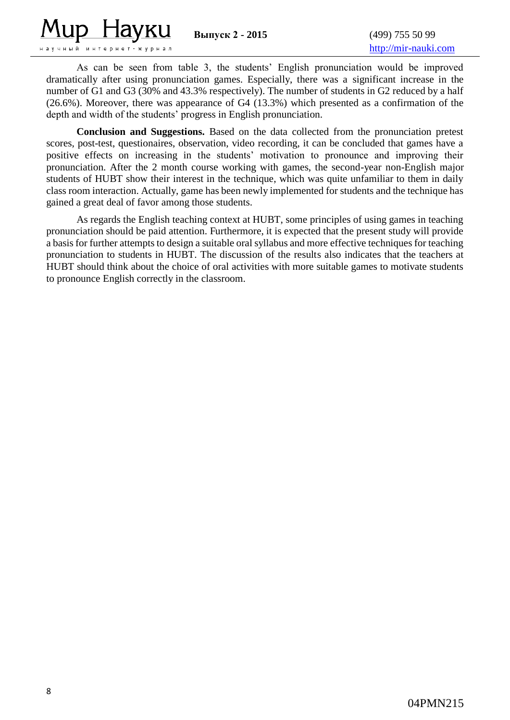

**Выпуск 2 - 2015** (499) 755 50 99

As can be seen from table 3, the students' English pronunciation would be improved dramatically after using pronunciation games. Especially, there was a significant increase in the number of G1 and G3 (30% and 43.3% respectively). The number of students in G2 reduced by a half (26.6%). Moreover, there was appearance of G4 (13.3%) which presented as a confirmation of the depth and width of the students' progress in English pronunciation.

**Conclusion and Suggestions.** Based on the data collected from the pronunciation pretest scores, post-test, questionaires, observation, video recording, it can be concluded that games have a positive effects on increasing in the students' motivation to pronounce and improving their pronunciation. After the 2 month course working with games, the second-year non-English major students of HUBT show their interest in the technique, which was quite unfamiliar to them in daily class room interaction. Actually, game has been newly implemented for students and the technique has gained a great deal of favor among those students.

As regards the English teaching context at HUBT, some principles of using games in teaching pronunciation should be paid attention. Furthermore, it is expected that the present study will provide a basis for further attempts to design a suitable oral syllabus and more effective techniques for teaching pronunciation to students in HUBT. The discussion of the results also indicates that the teachers at HUBT should think about the choice of oral activities with more suitable games to motivate students to pronounce English correctly in the classroom.